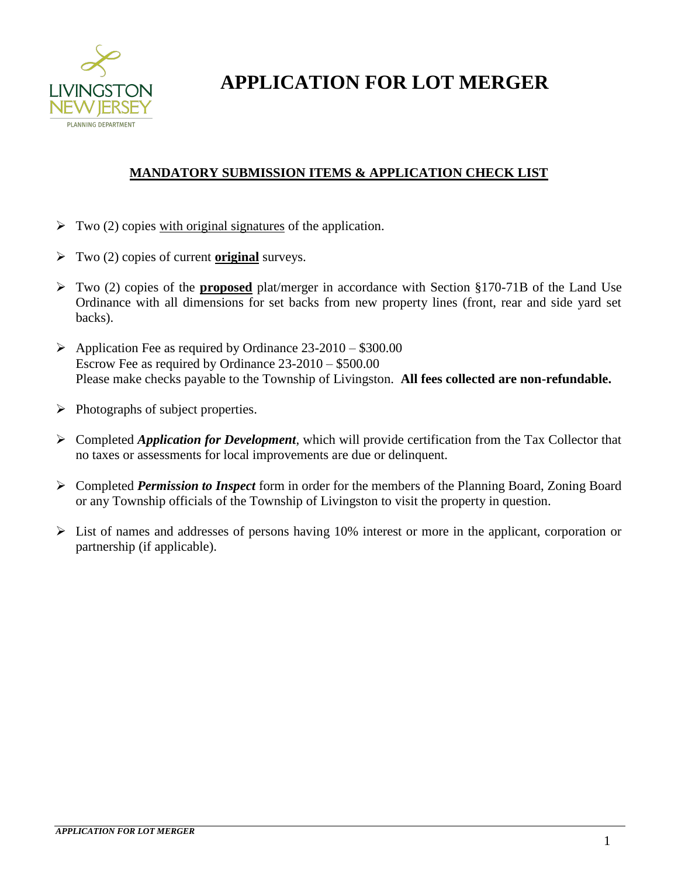

**APPLICATION FOR LOT MERGER**

### **MANDATORY SUBMISSION ITEMS & APPLICATION CHECK LIST**

- $\triangleright$  Two (2) copies with original signatures of the application.
- Two (2) copies of current **original** surveys.
- Two (2) copies of the **proposed** plat/merger in accordance with Section §170-71B of the Land Use Ordinance with all dimensions for set backs from new property lines (front, rear and side yard set backs).
- $\triangleright$  Application Fee as required by Ordinance 23-2010 \$300.00 Escrow Fee as required by Ordinance 23-2010 – \$500.00 Please make checks payable to the Township of Livingston. **All fees collected are non-refundable.**
- $\triangleright$  Photographs of subject properties.
- Completed *Application for Development*, which will provide certification from the Tax Collector that no taxes or assessments for local improvements are due or delinquent.
- Completed *Permission to Inspect* form in order for the members of the Planning Board, Zoning Board or any Township officials of the Township of Livingston to visit the property in question.
- $\triangleright$  List of names and addresses of persons having 10% interest or more in the applicant, corporation or partnership (if applicable).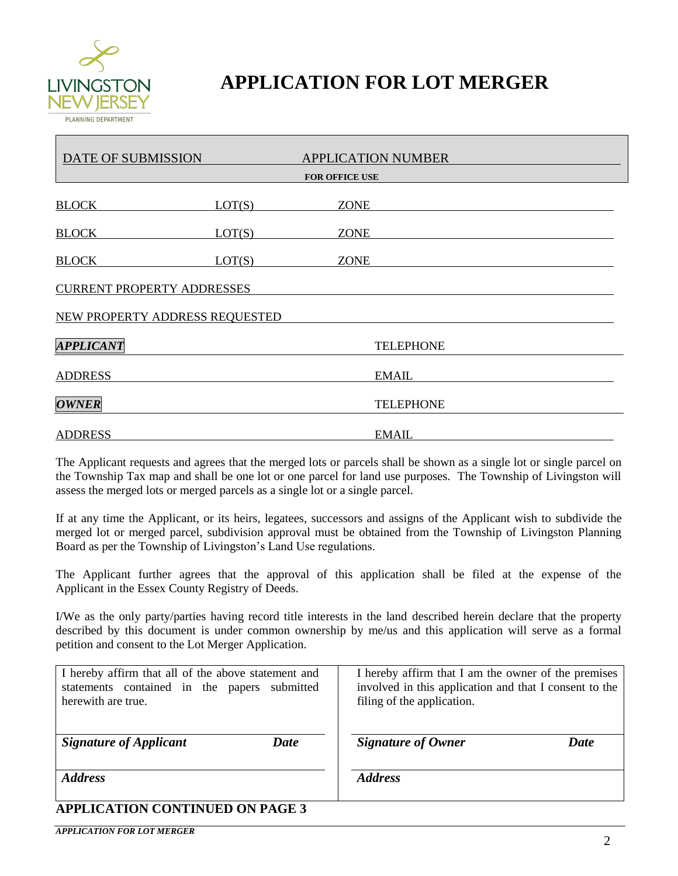

## **APPLICATION FOR LOT MERGER**

| DATE OF SUBMISSION                |        | <b>APPLICATION NUMBER</b> |  |  |
|-----------------------------------|--------|---------------------------|--|--|
| <b>FOR OFFICE USE</b>             |        |                           |  |  |
| <b>BLOCK</b>                      | LOT(S) | <b>ZONE</b>               |  |  |
| <b>BLOCK</b>                      | LOT(S) | <b>ZONE</b>               |  |  |
| <b>BLOCK</b>                      | LOT(S) | <b>ZONE</b>               |  |  |
| <b>CURRENT PROPERTY ADDRESSES</b> |        |                           |  |  |
| NEW PROPERTY ADDRESS REQUESTED    |        |                           |  |  |
| <b>APPLICANT</b>                  |        | <b>TELEPHONE</b>          |  |  |
| <b>ADDRESS</b>                    |        | <b>EMAIL</b>              |  |  |
| <b>OWNER</b>                      |        | <b>TELEPHONE</b>          |  |  |
| <b>ADDRESS</b>                    |        | <b>EMAIL</b>              |  |  |

The Applicant requests and agrees that the merged lots or parcels shall be shown as a single lot or single parcel on the Township Tax map and shall be one lot or one parcel for land use purposes. The Township of Livingston will assess the merged lots or merged parcels as a single lot or a single parcel.

If at any time the Applicant, or its heirs, legatees, successors and assigns of the Applicant wish to subdivide the merged lot or merged parcel, subdivision approval must be obtained from the Township of Livingston Planning Board as per the Township of Livingston's Land Use regulations.

The Applicant further agrees that the approval of this application shall be filed at the expense of the Applicant in the Essex County Registry of Deeds.

I/We as the only party/parties having record title interests in the land described herein declare that the property described by this document is under common ownership by me/us and this application will serve as a formal petition and consent to the Lot Merger Application.

| I hereby affirm that all of the above statement and | I hereby affirm that I am the owner of the premises    |  |  |  |
|-----------------------------------------------------|--------------------------------------------------------|--|--|--|
| statements contained in the papers submitted        | involved in this application and that I consent to the |  |  |  |
| herewith are true.                                  | filing of the application.                             |  |  |  |
| <b>Signature of Applicant</b>                       | <b>Signature of Owner</b>                              |  |  |  |
| Date                                                | <b>Date</b>                                            |  |  |  |
| <b>Address</b>                                      | <b>Address</b>                                         |  |  |  |
| <b>APPLICATION CONTINUED ON PAGE 3</b>              |                                                        |  |  |  |